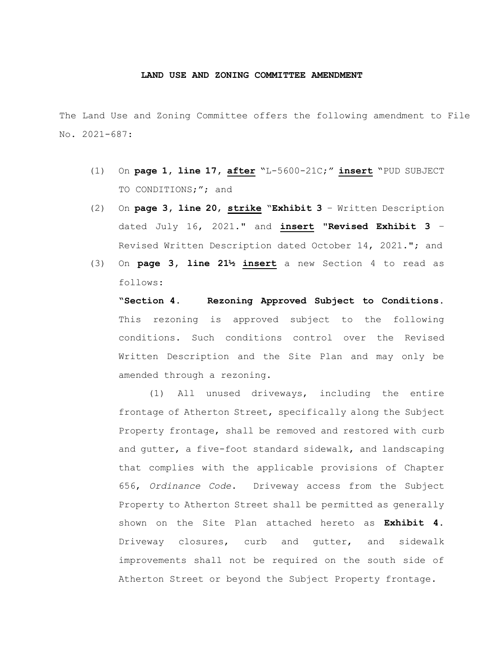## **LAND USE AND ZONING COMMITTEE AMENDMENT**

The Land Use and Zoning Committee offers the following amendment to File No. 2021-687:

- (1) On **page 1, line 17, after** "L-5600-21C;" **insert** "PUD SUBJECT TO CONDITIONS;"; and
- (2) On **page 3, line 20**, **strike** "**Exhibit 3** Written Description dated July 16, 2021." and **insert** "**Revised Exhibit 3** – Revised Written Description dated October 14, 2021."; and
- (3) On **page 3, line 21½ insert** a new Section 4 to read as follows:

**"Section 4. Rezoning Approved Subject to Conditions.**  This rezoning is approved subject to the following conditions. Such conditions control over the Revised Written Description and the Site Plan and may only be amended through a rezoning.

(1) All unused driveways, including the entire frontage of Atherton Street, specifically along the Subject Property frontage, shall be removed and restored with curb and gutter, a five-foot standard sidewalk, and landscaping that complies with the applicable provisions of Chapter 656, *Ordinance Code*. Driveway access from the Subject Property to Atherton Street shall be permitted as generally shown on the Site Plan attached hereto as **Exhibit 4**. Driveway closures, curb and gutter, and sidewalk improvements shall not be required on the south side of Atherton Street or beyond the Subject Property frontage.